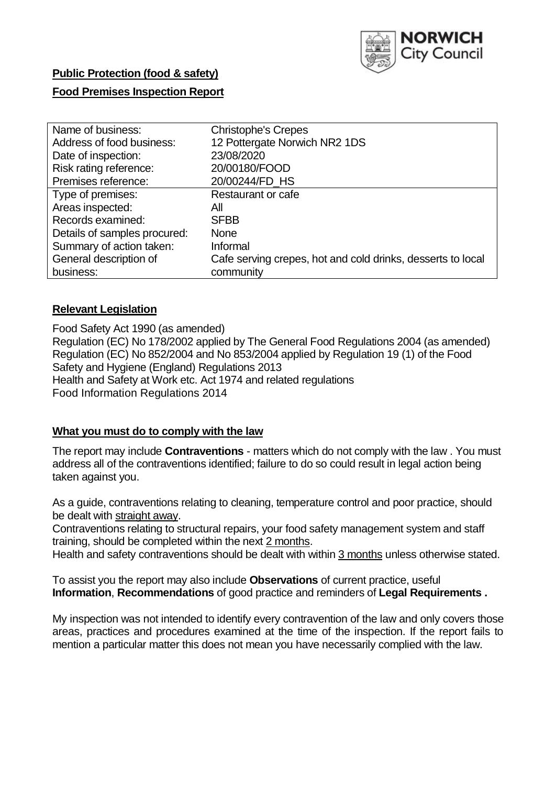

# **Public Protection (food & safety)**

## **Food Premises Inspection Report**

| Name of business:            | <b>Christophe's Crepes</b>                                  |  |  |  |  |
|------------------------------|-------------------------------------------------------------|--|--|--|--|
| Address of food business:    | 12 Pottergate Norwich NR2 1DS                               |  |  |  |  |
| Date of inspection:          | 23/08/2020                                                  |  |  |  |  |
| Risk rating reference:       | 20/00180/FOOD                                               |  |  |  |  |
| Premises reference:          | 20/00244/FD HS                                              |  |  |  |  |
| Type of premises:            | Restaurant or cafe                                          |  |  |  |  |
| Areas inspected:             | All                                                         |  |  |  |  |
| Records examined:            | <b>SFBB</b>                                                 |  |  |  |  |
| Details of samples procured: | <b>None</b>                                                 |  |  |  |  |
| Summary of action taken:     | Informal                                                    |  |  |  |  |
| General description of       | Cafe serving crepes, hot and cold drinks, desserts to local |  |  |  |  |
| business:                    | community                                                   |  |  |  |  |

#### **Relevant Legislation**

 Food Safety Act 1990 (as amended) Regulation (EC) No 178/2002 applied by The General Food Regulations 2004 (as amended) Regulation (EC) No 852/2004 and No 853/2004 applied by Regulation 19 (1) of the Food Safety and Hygiene (England) Regulations 2013 Health and Safety at Work etc. Act 1974 and related regulations Food Information Regulations 2014

#### **What you must do to comply with the law**

 The report may include **Contraventions** - matters which do not comply with the law . You must address all of the contraventions identified; failure to do so could result in legal action being taken against you.

 As a guide, contraventions relating to cleaning, temperature control and poor practice, should be dealt with straight away.

 Contraventions relating to structural repairs, your food safety management system and staff training, should be completed within the next 2 months.

Health and safety contraventions should be dealt with within 3 months unless otherwise stated.

 To assist you the report may also include **Observations** of current practice, useful **Information**, **Recommendations** of good practice and reminders of **Legal Requirements .** 

 My inspection was not intended to identify every contravention of the law and only covers those areas, practices and procedures examined at the time of the inspection. If the report fails to mention a particular matter this does not mean you have necessarily complied with the law.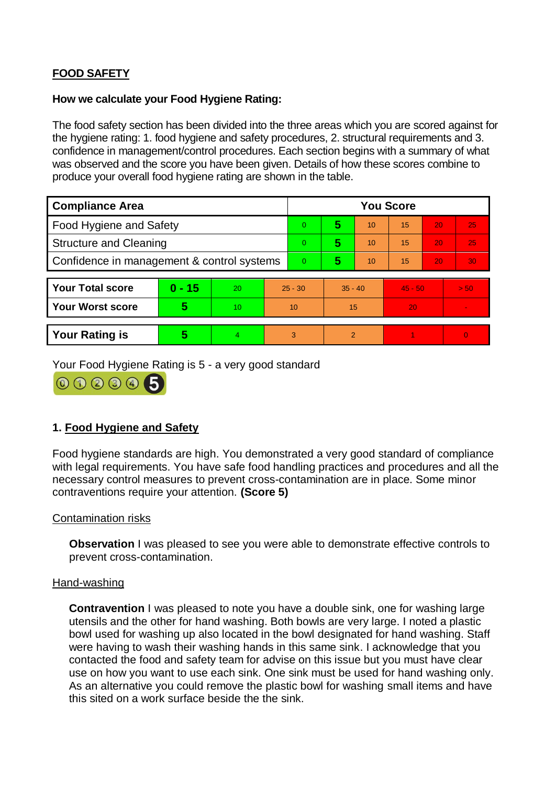# **FOOD SAFETY**

#### **How we calculate your Food Hygiene Rating:**

 The food safety section has been divided into the three areas which you are scored against for the hygiene rating: 1. food hygiene and safety procedures, 2. structural requirements and 3. confidence in management/control procedures. Each section begins with a summary of what was observed and the score you have been given. Details of how these scores combine to produce your overall food hygiene rating are shown in the table.

| <b>Compliance Area</b>                     |          |    |           | <b>You Score</b> |           |    |           |    |          |  |  |
|--------------------------------------------|----------|----|-----------|------------------|-----------|----|-----------|----|----------|--|--|
| Food Hygiene and Safety                    |          |    |           | $\Omega$         | 5         | 10 | 15        | 20 | 25       |  |  |
| <b>Structure and Cleaning</b>              |          |    | $\Omega$  | 5                | 10        | 15 | 20        | 25 |          |  |  |
| Confidence in management & control systems |          |    | $\Omega$  | 5                | 10        | 15 | 20        | 30 |          |  |  |
|                                            |          |    |           |                  |           |    |           |    |          |  |  |
| <b>Your Total score</b>                    | $0 - 15$ | 20 | $25 - 30$ |                  | $35 - 40$ |    | $45 - 50$ |    | > 50     |  |  |
| <b>Your Worst score</b>                    | 5        | 10 | 10        |                  | 15        |    | 20        |    |          |  |  |
|                                            |          |    |           |                  |           |    |           |    |          |  |  |
| <b>Your Rating is</b>                      | 5        | 4  | 3         |                  | 2         |    |           |    | $\Omega$ |  |  |

Your Food Hygiene Rating is 5 - a very good standard



# **1. Food Hygiene and Safety**

 with legal requirements. You have safe food handling practices and procedures and all the Food hygiene standards are high. You demonstrated a very good standard of compliance necessary control measures to prevent cross-contamination are in place. Some minor contraventions require your attention. **(Score 5)** 

#### Contamination risks

**Observation** I was pleased to see you were able to demonstrate effective controls to prevent cross-contamination.

#### Hand-washing

 **Contravention** I was pleased to note you have a double sink, one for washing large bowl used for washing up also located in the bowl designated for hand washing. Staff utensils and the other for hand washing. Both bowls are very large. I noted a plastic were having to wash their washing hands in this same sink. I acknowledge that you contacted the food and safety team for advise on this issue but you must have clear use on how you want to use each sink. One sink must be used for hand washing only. As an alternative you could remove the plastic bowl for washing small items and have this sited on a work surface beside the the sink.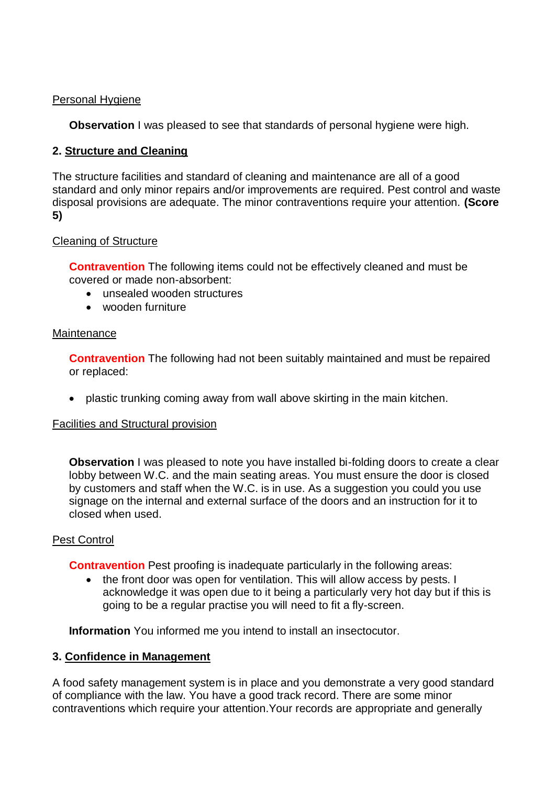## Personal Hygiene

**Observation** I was pleased to see that standards of personal hygiene were high.

# **2. Structure and Cleaning**

The structure facilities and standard of cleaning and maintenance are all of a good standard and only minor repairs and/or improvements are required. Pest control and waste disposal provisions are adequate. The minor contraventions require your attention. **(Score 5)** 

# Cleaning of Structure

**Contravention** The following items could not be effectively cleaned and must be covered or made non-absorbent:

- unsealed wooden structures
- wooden furniture

## **Maintenance**

**Contravention** The following had not been suitably maintained and must be repaired or replaced:

plastic trunking coming away from wall above skirting in the main kitchen.

# Facilities and Structural provision

 lobby between W.C. and the main seating areas. You must ensure the door is closed by customers and staff when the W.C. is in use. As a suggestion you could you use signage on the internal and external surface of the doors and an instruction for it to **Observation** I was pleased to note you have installed bi-folding doors to create a clear closed when used.

# Pest Control

**Contravention** Pest proofing is inadequate particularly in the following areas:

• the front door was open for ventilation. This will allow access by pests. I acknowledge it was open due to it being a particularly very hot day but if this is going to be a regular practise you will need to fit a fly-screen.

**Information** You informed me you intend to install an insectocutor.

#### **3. Confidence in Management**

 of compliance with the law. You have a good track record. There are some minor A food safety management system is in place and you demonstrate a very good standard contraventions which require your attention.Your records are appropriate and generally